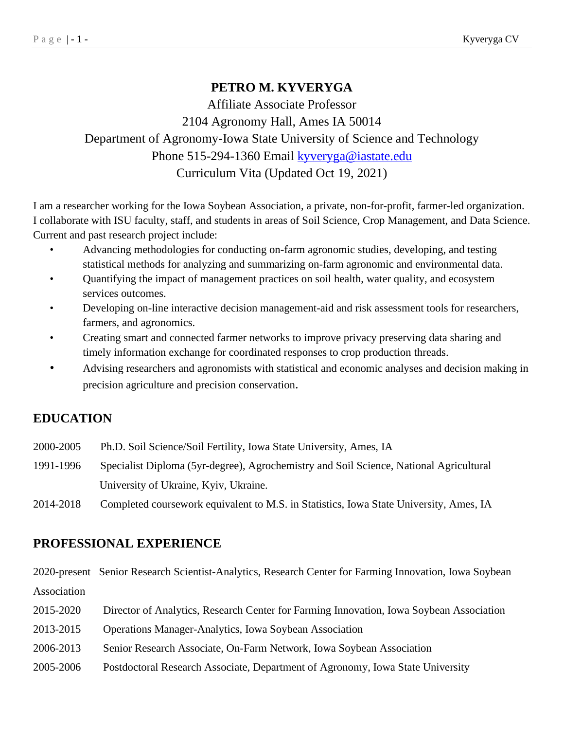# **PETRO M. KYVERYGA**

Affiliate Associate Professor 2104 Agronomy Hall, Ames IA 50014 Department of Agronomy-Iowa State University of Science and Technology Phone 515-294-1360 Email [kyveryga@iastate.edu](mailto:kyveryga@iastate.edu) Curriculum Vita (Updated Oct 19, 2021)

I am a researcher working for the Iowa Soybean Association, a private, non-for-profit, farmer-led organization. I collaborate with ISU faculty, staff, and students in areas of Soil Science, Crop Management, and Data Science. Current and past research project include:

- Advancing methodologies for conducting on-farm agronomic studies, developing, and testing statistical methods for analyzing and summarizing on-farm agronomic and environmental data.
- Quantifying the impact of management practices on soil health, water quality, and ecosystem services outcomes.
- Developing on-line interactive decision management-aid and risk assessment tools for researchers, farmers, and agronomics.
- Creating smart and connected farmer networks to improve privacy preserving data sharing and timely information exchange for coordinated responses to crop production threads.
- Advising researchers and agronomists with statistical and economic analyses and decision making in precision agriculture and precision conservation.

## **EDUCATION**

| 2000-2005 | Ph.D. Soil Science/Soil Fertility, Iowa State University, Ames, IA                     |
|-----------|----------------------------------------------------------------------------------------|
| 1991-1996 | Specialist Diploma (5yr-degree), Agrochemistry and Soil Science, National Agricultural |
|           | University of Ukraine, Kyiv, Ukraine.                                                  |
|           |                                                                                        |

2014-2018 Completed coursework equivalent to M.S. in Statistics, Iowa State University, Ames, IA

### **PROFESSIONAL EXPERIENCE**

2020-present Senior Research Scientist-Analytics, Research Center for Farming Innovation, Iowa Soybean Association 2015-2020 Director of Analytics, Research Center for Farming Innovation, Iowa Soybean Association 2013-2015 Operations Manager-Analytics, Iowa Soybean Association 2006-2013 Senior Research Associate, On-Farm Network, Iowa Soybean Association 2005-2006 Postdoctoral Research Associate, Department of Agronomy, Iowa State University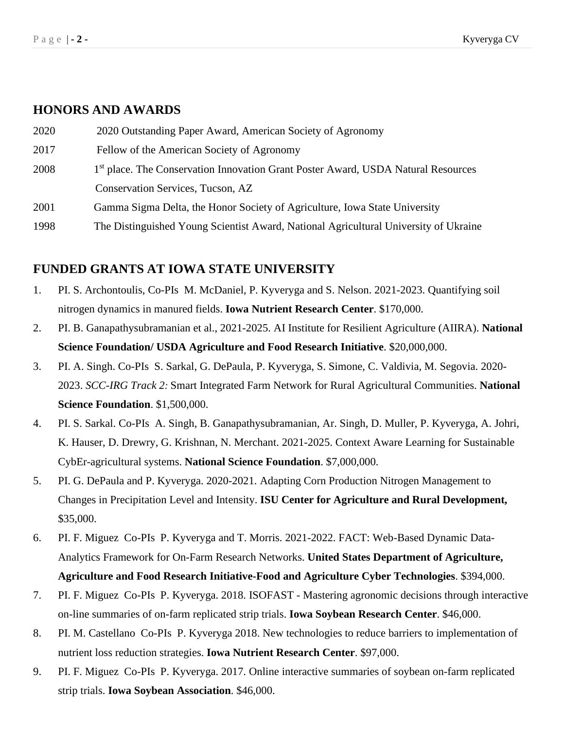#### **HONORS AND AWARDS**

| 2020 | 2020 Outstanding Paper Award, American Society of Agronomy                                    |
|------|-----------------------------------------------------------------------------------------------|
| 2017 | Fellow of the American Society of Agronomy                                                    |
| 2008 | 1 <sup>st</sup> place. The Conservation Innovation Grant Poster Award, USDA Natural Resources |
|      | Conservation Services, Tucson, AZ                                                             |
| 2001 | Gamma Sigma Delta, the Honor Society of Agriculture, Iowa State University                    |
| 1998 | The Distinguished Young Scientist Award, National Agricultural University of Ukraine          |

### **FUNDED GRANTS AT IOWA STATE UNIVERSITY**

- 1. PI. S. Archontoulis, Co-PIs M. McDaniel, P. Kyveryga and S. Nelson. 2021-2023. Quantifying soil nitrogen dynamics in manured fields. **Iowa Nutrient Research Center**. \$170,000.
- 2. PI. B. Ganapathysubramanian et al., 2021-2025. AI Institute for Resilient Agriculture (AIIRA). **National Science Foundation/ USDA Agriculture and Food Research Initiative**. \$20,000,000.
- 3. PI. A. Singh. Co-PIs S. Sarkal, G. DePaula, P. Kyveryga, S. Simone, C. Valdivia, M. Segovia. 2020- 2023. *SCC-IRG Track 2:* Smart Integrated Farm Network for Rural Agricultural Communities. **National Science Foundation**. \$1,500,000.
- 4. PI. S. Sarkal. Co-PIs A. Singh, B. Ganapathysubramanian, Ar. Singh, D. Muller, P. Kyveryga, A. Johri, K. Hauser, D. Drewry, G. Krishnan, N. Merchant. 2021-2025. Context Aware Learning for Sustainable CybEr-agricultural systems. **National Science Foundation**. \$7,000,000.
- 5. PI. G. DePaula and P. Kyveryga. 2020-2021. Adapting Corn Production Nitrogen Management to Changes in Precipitation Level and Intensity. **ISU Center for Agriculture and Rural Development,** \$35,000.
- 6. PI. F. Miguez Co-PIs P. Kyveryga and T. Morris. 2021-2022. FACT: Web-Based Dynamic Data-Analytics Framework for On-Farm Research Networks. **United States Department of Agriculture, Agriculture and Food Research Initiative-Food and Agriculture Cyber Technologies**. \$394,000.
- 7. PI. F. Miguez Co-PIs P. Kyveryga. 2018. ISOFAST Mastering agronomic decisions through interactive on-line summaries of on-farm replicated strip trials. **Iowa Soybean Research Center**. \$46,000.
- 8. PI. M. Castellano Co-PIs P. Kyveryga 2018. New technologies to reduce barriers to implementation of nutrient loss reduction strategies. **Iowa Nutrient Research Center**. \$97,000.
- 9. PI. F. Miguez Co-PIs P. Kyveryga. 2017. Online interactive summaries of soybean on-farm replicated strip trials. **Iowa Soybean Association**. \$46,000.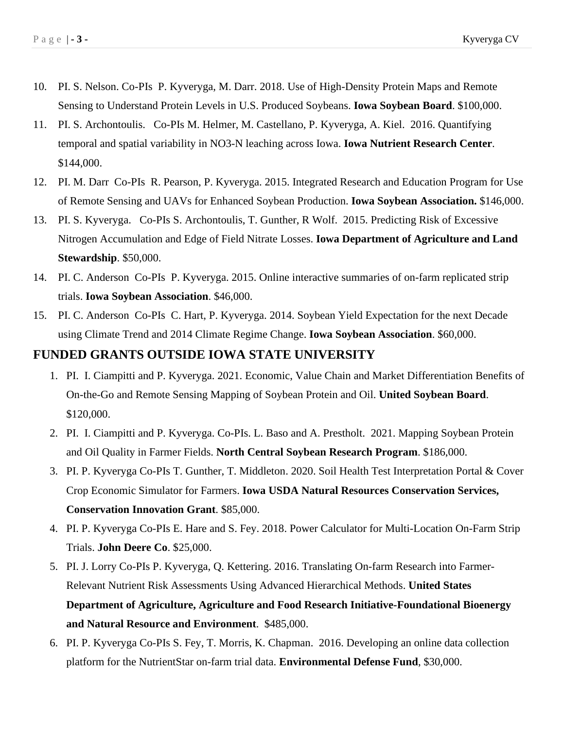- 10. PI. S. Nelson. Co-PIs P. Kyveryga, M. Darr. 2018. Use of High-Density Protein Maps and Remote Sensing to Understand Protein Levels in U.S. Produced Soybeans. **Iowa Soybean Board**. \$100,000.
- 11. PI. S. Archontoulis. Co-PIs M. Helmer, M. Castellano, P. Kyveryga, A. Kiel. 2016. Quantifying temporal and spatial variability in NO3-N leaching across Iowa. **Iowa Nutrient Research Center**. \$144,000.
- 12. PI. M. Darr Co-PIs R. Pearson, P. Kyveryga. 2015. Integrated Research and Education Program for Use of Remote Sensing and UAVs for Enhanced Soybean Production. **Iowa Soybean Association.** \$146,000.
- 13. PI. S. Kyveryga. Co-PIs S. Archontoulis, T. Gunther, R Wolf. 2015. Predicting Risk of Excessive Nitrogen Accumulation and Edge of Field Nitrate Losses. **Iowa Department of Agriculture and Land Stewardship**. \$50,000.
- 14. PI. C. Anderson Co-PIs P. Kyveryga. 2015. Online interactive summaries of on-farm replicated strip trials. **Iowa Soybean Association**. \$46,000.
- 15. PI. C. Anderson Co-PIs C. Hart, P. Kyveryga. 2014. Soybean Yield Expectation for the next Decade using Climate Trend and 2014 Climate Regime Change. **Iowa Soybean Association**. \$60,000.

#### **FUNDED GRANTS OUTSIDE IOWA STATE UNIVERSITY**

- 1. PI. I. Ciampitti and P. Kyveryga. 2021. Economic, Value Chain and Market Differentiation Benefits of On-the-Go and Remote Sensing Mapping of Soybean Protein and Oil. **United Soybean Board**. \$120,000.
- 2. PI. I. Ciampitti and P. Kyveryga. Co-PIs. L. Baso and A. Prestholt. 2021. Mapping Soybean Protein and Oil Quality in Farmer Fields. **North Central Soybean Research Program**. \$186,000.
- 3. PI. P. Kyveryga Co-PIs T. Gunther, T. Middleton. 2020. Soil Health Test Interpretation Portal & Cover Crop Economic Simulator for Farmers. **Iowa USDA Natural Resources Conservation Services, Conservation Innovation Grant**. \$85,000.
- 4. PI. P. Kyveryga Co-PIs E. Hare and S. Fey. 2018. Power Calculator for Multi-Location On-Farm Strip Trials. **John Deere Co**. \$25,000.
- 5. PI. J. Lorry Co-PIs P. Kyveryga, Q. Kettering. 2016. Translating On-farm Research into Farmer-Relevant Nutrient Risk Assessments Using Advanced Hierarchical Methods. **United States Department of Agriculture, Agriculture and Food Research Initiative-Foundational Bioenergy and Natural Resource and Environment**. \$485,000.
- 6. PI. P. Kyveryga Co-PIs S. Fey, T. Morris, K. Chapman. 2016. Developing an online data collection platform for the NutrientStar on-farm trial data. **Environmental Defense Fund**, \$30,000.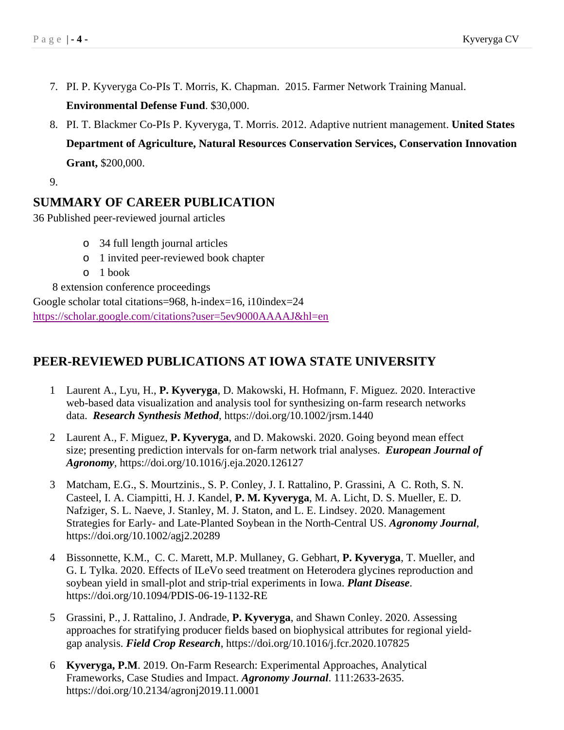- 7. PI. P. Kyveryga Co-PIs T. Morris, K. Chapman. 2015. Farmer Network Training Manual. **Environmental Defense Fund**. \$30,000.
- 8. PI. T. Blackmer Co-PIs P. Kyveryga, T. Morris. 2012. Adaptive nutrient management. **United States Department of Agriculture, Natural Resources Conservation Services, Conservation Innovation Grant,** \$200,000.

9.

### **SUMMARY OF CAREER PUBLICATION**

36 Published peer-reviewed journal articles

- o 34 full length journal articles
- o 1 invited peer-reviewed book chapter
- o 1 book

8 extension conference proceedings

Google scholar total citations=968, h-index=16, i10index=24 <https://scholar.google.com/citations?user=5ev9000AAAAJ&hl=en>

## **PEER-REVIEWED PUBLICATIONS AT IOWA STATE UNIVERSITY**

- 1 Laurent A., Lyu, H., **P. Kyveryga**, D. Makowski, H. Hofmann, F. Miguez. 2020. Interactive web-based data visualization and analysis tool for synthesizing on-farm research networks data. *Research Synthesis Method*, https://doi.org/10.1002/jrsm.1440
- 2 Laurent A., F. Miguez, **P. Kyveryga**, and D. Makowski. 2020. Going beyond mean effect size; presenting prediction intervals for on-farm network trial analyses. *European Journal of Agronomy,* https://doi.org/10.1016/j.eja.2020.126127
- 3 Matcham, E.G., S. Mourtzinis., S. P. Conley, J. I. Rattalino, P. Grassini, A C. Roth, S. N. Casteel, I. A. Ciampitti, H. J. Kandel, **P. M. Kyveryga**, M. A. Licht, D. S. Mueller, E. D. Nafziger, S. L. Naeve, J. Stanley, M. J. Staton, and L. E. Lindsey. 2020. Management Strategies for Early- and Late-Planted Soybean in the North-Central US. *Agronomy Journal*, https://doi.org/10.1002/agj2.20289
- 4 Bissonnette, K.M., C. C. Marett, M.P. Mullaney, G. Gebhart, **P. Kyveryga**, T. Mueller, and G. L Tylka. 2020. Effects of ILeVo seed treatment on Heterodera glycines reproduction and soybean yield in small-plot and strip-trial experiments in Iowa. *Plant Disease*. https://doi.org/10.1094/PDIS-06-19-1132-RE
- 5 Grassini, P., J. Rattalino, J. Andrade, **P. Kyveryga**, and Shawn Conley. 2020. Assessing approaches for stratifying producer fields based on biophysical attributes for regional yieldgap analysis. *Field Crop Research*, https://doi.org/10.1016/j.fcr.2020.107825
- 6 **Kyveryga, P.M**. 2019. On-Farm Research: Experimental Approaches, Analytical Frameworks, Case Studies and Impact. *Agronomy Journal*. 111:2633-2635. https://doi.org/10.2134/agronj2019.11.0001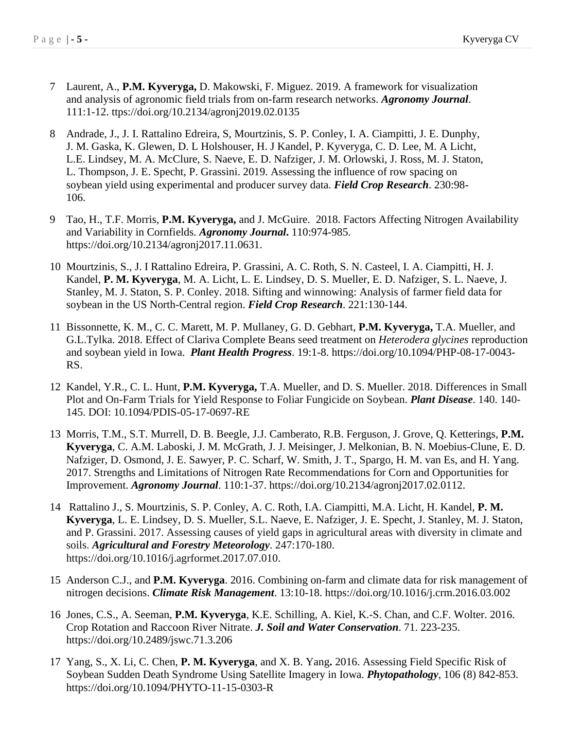- 7 Laurent, A., **P.M. Kyveryga,** D. Makowski, F. Miguez. 2019. A framework for visualization and analysis of agronomic field trials from on-farm research networks. *Agronomy Journal*. 111:1-12. ttps://doi.org/10.2134/agronj2019.02.0135
- 8 Andrade, J., J. I. Rattalino Edreira, S, Mourtzinis, S. P. Conley, I. A. Ciampitti, J. E. Dunphy, J. M. Gaska, K. Glewen, D. L Holshouser, H. J Kandel, P. Kyveryga, C. D. Lee, M. A Licht, L.E. Lindsey, M. A. McClure, S. Naeve, E. D. Nafziger, J. M. Orlowski, J. Ross, M. J. Staton, L. Thompson, J. E. Specht, P. Grassini. 2019. Assessing the influence of row spacing on soybean yield using experimental and producer survey data. *Field Crop Research*. 230:98- 106.
- 9 Tao, H., T.F. Morris, **P.M. Kyveryga,** and J. McGuire. 2018. Factors Affecting Nitrogen Availability and Variability in Cornfields. *Agronomy Journal***.** 110:974-985. https://doi.org/10.2134/agronj2017.11.0631.
- 10 Mourtzinis, S., J. I Rattalino Edreira, P. Grassini, A. C. Roth, S. N. Casteel, I. A. Ciampitti, H. J. Kandel, **P. M. Kyveryga**, M. A. Licht, L. E. Lindsey, D. S. Mueller, E. D. Nafziger, S. L. Naeve, J. Stanley, M. J. Staton, S. P. Conley. 2018. Sifting and winnowing: Analysis of farmer field data for soybean in the US North-Central region. *Field Crop Research*. 221:130-144.
- 11 Bissonnette, K. M., C. C. Marett, M. P. Mullaney, G. D. Gebhart, **P.M. Kyveryga,** T.A. Mueller, and G.L.Tylka. 2018. Effect of Clariva Complete Beans seed treatment on *Heterodera glycines* reproduction and soybean yield in Iowa. *Plant Health Progress*. 19:1-8. https://doi.org/10.1094/PHP-08-17-0043- RS.
- 12 Kandel, Y.R., C. L. Hunt, **P.M. Kyveryga,** T.A. Mueller, and D. S. Mueller. 2018. Differences in Small Plot and On-Farm Trials for Yield Response to Foliar Fungicide on Soybean. *Plant Disease*. 140. 140- 145. DOI: 10.1094/PDIS-05-17-0697-RE
- 13 Morris, T.M., S.T. Murrell, D. B. Beegle, J.J. Camberato, R.B. Ferguson, J. Grove, Q. Ketterings, **P.M. Kyveryga**, C. A.M. Laboski, J. M. McGrath, J. J. Meisinger, J. Melkonian, B. N. Moebius-Clune, E. D. Nafziger, D. Osmond, J. E. Sawyer, P. C. Scharf, W. Smith, J. T., Spargo, H. M. van Es, and H. Yang. 2017. Strengths and Limitations of Nitrogen Rate Recommendations for Corn and Opportunities for Improvement. *Agronomy Journal*. 110:1-37. https://doi.org/10.2134/agronj2017.02.0112.
- 14 Rattalino J., S. Mourtzinis, S. P. Conley, A. C. Roth, I.A. Ciampitti, M.A. Licht, H. Kandel, **P. M. Kyveryga**, L. E. Lindsey, D. S. Mueller, S.L. Naeve, E. Nafziger, J. E. Specht, J. Stanley, M. J. Staton, and P. Grassini. 2017. Assessing causes of yield gaps in agricultural areas with diversity in climate and soils. *Agricultural and Forestry Meteorology*. 247:170-180. https://doi.org/10.1016/j.agrformet.2017.07.010.
- 15 Anderson C.J., and **P.M. Kyveryga**. 2016. Combining on-farm and climate data for risk management of nitrogen decisions. *Climate Risk Management*. 13:10-18. https://doi.org/10.1016/j.crm.2016.03.002
- 16 Jones, C.S., A. Seeman, **P.M. Kyveryga**, K.E. Schilling, A. Kiel, K.-S. Chan, and C.F. Wolter. 2016. Crop Rotation and Raccoon River Nitrate. *J. Soil and Water Conservation*. 71. 223-235. https://doi.org/10.2489/jswc.71.3.206
- 17 Yang, S., X. Li, C. Chen, **P. M. Kyveryga**, and X. B. Yang**.** 2016. Assessing Field Specific Risk of Soybean Sudden Death Syndrome Using Satellite Imagery in Iowa. *Phytopathology*, 106 (8) 842-853. https://doi.org/10.1094/PHYTO-11-15-0303-R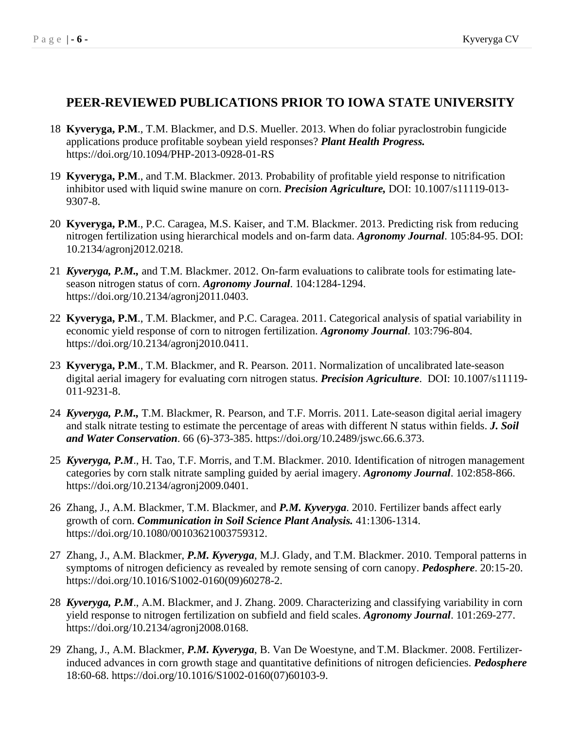### **PEER-REVIEWED PUBLICATIONS PRIOR TO IOWA STATE UNIVERSITY**

- 18 **Kyveryga, P.M**., T.M. Blackmer, and D.S. Mueller. 2013. When do foliar pyraclostrobin fungicide applications produce profitable soybean yield responses? *Plant Health Progress.* https://doi.org/10.1094/PHP-2013-0928-01-RS
- 19 **Kyveryga, P.M**., and T.M. Blackmer. 2013. Probability of profitable yield response to nitrification inhibitor used with liquid swine manure on corn. *Precision Agriculture,* DOI: 10.1007/s11119-013- 9307-8.
- 20 **Kyveryga, P.M**., P.C. Caragea, M.S. Kaiser, and T.M. Blackmer. 2013. Predicting risk from reducing nitrogen fertilization using hierarchical models and on-farm data. *Agronomy Journal*. 105:84-95. DOI: 10.2134/agronj2012.0218.
- 21 *Kyveryga, P.M.,* and T.M. Blackmer. 2012. On-farm evaluations to calibrate tools for estimating lateseason nitrogen status of corn. *Agronomy Journal*. 104:1284-1294. https://doi.org/10.2134/agronj2011.0403.
- 22 **Kyveryga, P.M**., T.M. Blackmer, and P.C. Caragea. 2011. Categorical analysis of spatial variability in economic yield response of corn to nitrogen fertilization. *Agronomy Journal*. 103:796-804. https://doi.org/10.2134/agronj2010.0411.
- 23 **Kyveryga, P.M**., T.M. Blackmer, and R. Pearson. 2011. Normalization of uncalibrated late-season digital aerial imagery for evaluating corn nitrogen status. *Precision Agriculture*. DOI: 10.1007/s11119- 011-9231-8.
- 24 *Kyveryga, P.M.,* T.M. Blackmer, R. Pearson, and T.F. Morris. 2011. Late-season digital aerial imagery and stalk nitrate testing to estimate the percentage of areas with different N status within fields. *J. Soil and Water Conservation*. 66 (6)-373-385. https://doi.org/10.2489/jswc.66.6.373.
- 25 *Kyveryga, P.M*., H. Tao, T.F. Morris, and T.M. Blackmer. 2010. Identification of nitrogen management categories by corn stalk nitrate sampling guided by aerial imagery. *Agronomy Journal*. 102:858-866. https://doi.org/10.2134/agronj2009.0401.
- 26 Zhang, J., A.M. Blackmer, T.M. Blackmer, and *P.M. Kyveryga*. 2010. Fertilizer bands affect early growth of corn. *Communication in Soil Science Plant Analysis.* 41:1306-1314. https://doi.org/10.1080/00103621003759312.
- 27 Zhang, J., A.M. Blackmer, *P.M. Kyveryga*, M.J. Glady, and T.M. Blackmer. 2010. Temporal patterns in symptoms of nitrogen deficiency as revealed by remote sensing of corn canopy. *Pedosphere*. 20:15-20. https://doi.org/10.1016/S1002-0160(09)60278-2.
- 28 *Kyveryga, P.M*., A.M. Blackmer, and J. Zhang. 2009. Characterizing and classifying variability in corn yield response to nitrogen fertilization on subfield and field scales. *Agronomy Journal*. 101:269-277. https://doi.org/10.2134/agronj2008.0168.
- 29 Zhang, J., A.M. Blackmer, *P.M. Kyveryga*, B. Van De Woestyne, and T.M. Blackmer. 2008. Fertilizerinduced advances in corn growth stage and quantitative definitions of nitrogen deficiencies. *Pedosphere*  18:60-68. https://doi.org/10.1016/S1002-0160(07)60103-9.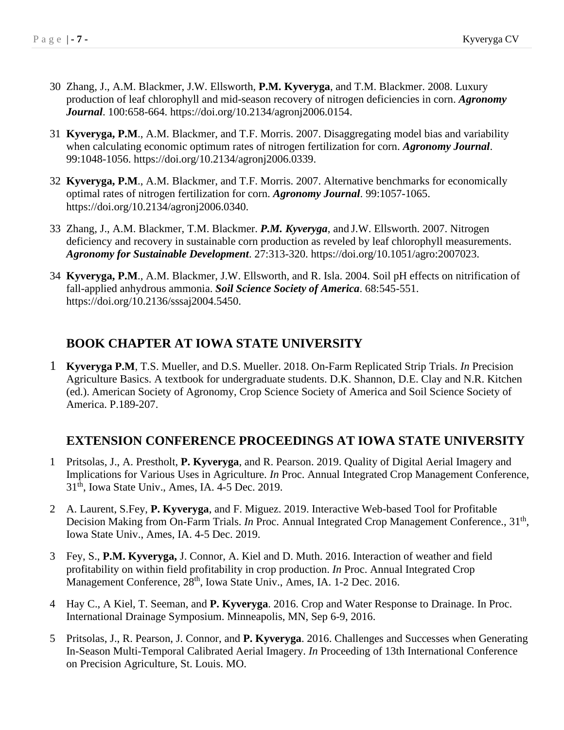- 30 Zhang, J., A.M. Blackmer, J.W. Ellsworth, **P.M. Kyveryga**, and T.M. Blackmer. 2008. Luxury production of leaf chlorophyll and mid-season recovery of nitrogen deficiencies in corn. *Agronomy Journal*. 100:658-664. https://doi.org/10.2134/agronj2006.0154.
- 31 **Kyveryga, P.M**., A.M. Blackmer, and T.F. Morris. 2007. Disaggregating model bias and variability when calculating economic optimum rates of nitrogen fertilization for corn. *Agronomy Journal*. 99:1048-1056. https://doi.org/10.2134/agronj2006.0339.
- 32 **Kyveryga, P.M**., A.M. Blackmer, and T.F. Morris. 2007. Alternative benchmarks for economically optimal rates of nitrogen fertilization for corn. *Agronomy Journal*. 99:1057-1065. https://doi.org/10.2134/agronj2006.0340.
- 33 Zhang, J., A.M. Blackmer, T.M. Blackmer. *P.M. Kyveryga*, and J.W. Ellsworth. 2007. Nitrogen deficiency and recovery in sustainable corn production as reveled by leaf chlorophyll measurements. *Agronomy for Sustainable Development*. 27:313-320. https://doi.org/10.1051/agro:2007023.
- 34 **Kyveryga, P.M**., A.M. Blackmer, J.W. Ellsworth, and R. Isla. 2004. Soil pH effects on nitrification of fall-applied anhydrous ammonia. *Soil Science Society of America*. 68:545-551. https://doi.org/10.2136/sssaj2004.5450.

## **BOOK CHAPTER AT IOWA STATE UNIVERSITY**

1 **Kyveryga P.M**, T.S. Mueller, and D.S. Mueller. 2018. On-Farm Replicated Strip Trials. *In* Precision Agriculture Basics. A textbook for undergraduate students. D.K. Shannon, D.E. Clay and N.R. Kitchen (ed.). American Society of Agronomy, Crop Science Society of America and Soil Science Society of America. P.189-207.

## **EXTENSION CONFERENCE PROCEEDINGS AT IOWA STATE UNIVERSITY**

- 1 Pritsolas, J., A. Prestholt, **P. Kyveryga**, and R. Pearson. 2019. Quality of Digital Aerial Imagery and Implications for Various Uses in Agriculture. *In* Proc. Annual Integrated Crop Management Conference, 31th, Iowa State Univ., Ames, IA. 4-5 Dec. 2019.
- 2 A. Laurent, S.Fey, **P. Kyveryga**, and F. Miguez. 2019. Interactive Web-based Tool for Profitable Decision Making from On-Farm Trials. *In* Proc. Annual Integrated Crop Management Conference., 31<sup>th</sup>, Iowa State Univ., Ames, IA. 4-5 Dec. 2019.
- 3 Fey, S., **P.M. Kyveryga,** J. Connor, A. Kiel and D. Muth. 2016. Interaction of weather and field profitability on within field profitability in crop production. *In* Proc. Annual Integrated Crop Management Conference, 28<sup>th</sup>, Iowa State Univ., Ames, IA. 1-2 Dec. 2016.
- 4 Hay C., A Kiel, T. Seeman, and **P. Kyveryga**. 2016. Crop and Water Response to Drainage. In Proc. International Drainage Symposium. Minneapolis, MN, Sep 6-9, 2016.
- 5 Pritsolas, J., R. Pearson, J. Connor, and **P. Kyveryga**. 2016. Challenges and Successes when Generating In-Season Multi-Temporal Calibrated Aerial Imagery. *In* Proceeding of 13th International Conference on Precision Agriculture, St. Louis. MO.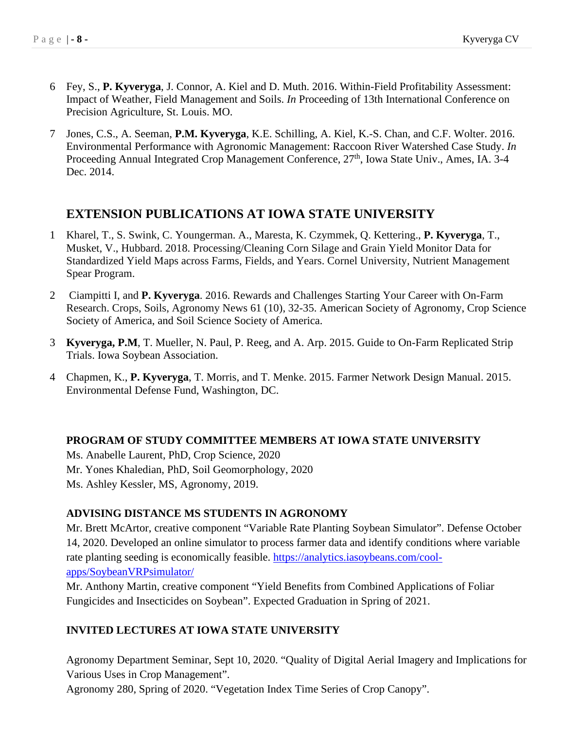- 6 Fey, S., **P. Kyveryga**, J. Connor, A. Kiel and D. Muth. 2016. Within-Field Profitability Assessment: Impact of Weather, Field Management and Soils. *In* Proceeding of 13th International Conference on Precision Agriculture, St. Louis. MO.
- 7 Jones, C.S., A. Seeman, **P.M. Kyveryga**, K.E. Schilling, A. Kiel, K.-S. Chan, and C.F. Wolter. 2016. Environmental Performance with Agronomic Management: Raccoon River Watershed Case Study. *In* Proceeding Annual Integrated Crop Management Conference, 27<sup>th</sup>, Iowa State Univ., Ames, IA. 3-4 Dec. 2014.

## **EXTENSION PUBLICATIONS AT IOWA STATE UNIVERSITY**

- 1 Kharel, T., S. Swink, C. Youngerman. A., Maresta, K. Czymmek, Q. Kettering., **P. Kyveryga**, T., Musket, V., Hubbard. 2018. Processing/Cleaning Corn Silage and Grain Yield Monitor Data for Standardized Yield Maps across Farms, Fields, and Years. Cornel University, Nutrient Management Spear Program.
- 2 Ciampitti I, and **P. Kyveryga**. 2016. Rewards and Challenges Starting Your Career with On-Farm Research. Crops, Soils, Agronomy News 61 (10), 32-35. American Society of Agronomy, Crop Science Society of America, and Soil Science Society of America.
- 3 **Kyveryga, P.M**, T. Mueller, N. Paul, P. Reeg, and A. Arp. 2015. Guide to On-Farm Replicated Strip Trials. Iowa Soybean Association.
- 4 Chapmen, K., **P. Kyveryga**, T. Morris, and T. Menke. 2015. Farmer Network Design Manual. 2015. Environmental Defense Fund, Washington, DC.

#### **PROGRAM OF STUDY COMMITTEE MEMBERS AT IOWA STATE UNIVERSITY**

Ms. Anabelle Laurent, PhD, Crop Science, 2020 Mr. Yones Khaledian, PhD, Soil Geomorphology, 2020 Ms. Ashley Kessler, MS, Agronomy, 2019.

#### **ADVISING DISTANCE MS STUDENTS IN AGRONOMY**

Mr. Brett McArtor, creative component "Variable Rate Planting Soybean Simulator". Defense October 14, 2020. Developed an online simulator to process farmer data and identify conditions where variable rate planting seeding is economically feasible. [https://analytics.iasoybeans.com/cool](https://analytics.iasoybeans.com/cool-apps/SoybeanVRPsimulator/)[apps/SoybeanVRPsimulator/](https://analytics.iasoybeans.com/cool-apps/SoybeanVRPsimulator/)

Mr. Anthony Martin, creative component "Yield Benefits from Combined Applications of Foliar Fungicides and Insecticides on Soybean". Expected Graduation in Spring of 2021.

#### **INVITED LECTURES AT IOWA STATE UNIVERSITY**

Agronomy Department Seminar, Sept 10, 2020. "Quality of Digital Aerial Imagery and Implications for Various Uses in Crop Management".

Agronomy 280, Spring of 2020. "Vegetation Index Time Series of Crop Canopy".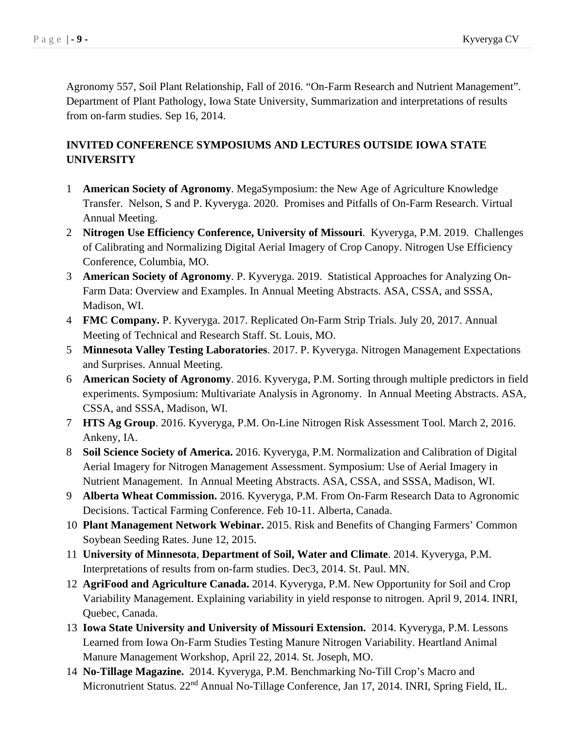Agronomy 557, Soil Plant Relationship, Fall of 2016. "On-Farm Research and Nutrient Management". Department of Plant Pathology, Iowa State University, Summarization and interpretations of results from on-farm studies. Sep 16, 2014.

### **INVITED CONFERENCE SYMPOSIUMS AND LECTURES OUTSIDE IOWA STATE UNIVERSITY**

- 1 **American Society of Agronomy**. MegaSymposium: the New Age of Agriculture Knowledge Transfer. Nelson, S and P. Kyveryga. 2020. Promises and Pitfalls of On-Farm Research. Virtual Annual Meeting.
- 2 **Nitrogen Use Efficiency Conference, University of Missouri**. Kyveryga, P.M. 2019. Challenges of Calibrating and Normalizing Digital Aerial Imagery of Crop Canopy. Nitrogen Use Efficiency Conference, Columbia, MO.
- 3 **American Society of Agronomy**. P. Kyveryga. 2019. Statistical Approaches for Analyzing On-Farm Data: Overview and Examples. In Annual Meeting Abstracts. ASA, CSSA, and SSSA, Madison, WI.
- 4 **FMC Company.** P. Kyveryga. 2017. Replicated On-Farm Strip Trials. July 20, 2017. Annual Meeting of Technical and Research Staff. St. Louis, MO.
- 5 **Minnesota Valley Testing Laboratories**. 2017. P. Kyveryga. Nitrogen Management Expectations and Surprises. Annual Meeting.
- 6 **American Society of Agronomy**. 2016. Kyveryga, P.M. Sorting through multiple predictors in field experiments. Symposium: Multivariate Analysis in Agronomy. In Annual Meeting Abstracts. ASA, CSSA, and SSSA, Madison, WI.
- 7 **HTS Ag Group**. 2016. Kyveryga, P.M. On-Line Nitrogen Risk Assessment Tool. March 2, 2016. Ankeny, IA.
- 8 **Soil Science Society of America.** 2016. Kyveryga, P.M. Normalization and Calibration of Digital Aerial Imagery for Nitrogen Management Assessment. Symposium: Use of Aerial Imagery in Nutrient Management. In Annual Meeting Abstracts. ASA, CSSA, and SSSA, Madison, WI.
- 9 **Alberta Wheat Commission.** 2016. Kyveryga, P.M. From On-Farm Research Data to Agronomic Decisions. Tactical Farming Conference. Feb 10-11. Alberta, Canada.
- 10 **Plant Management Network Webinar.** 2015. Risk and Benefits of Changing Farmers' Common Soybean Seeding Rates. June 12, 2015.
- 11 **University of Minnesota**, **Department of Soil, Water and Climate**. 2014. Kyveryga, P.M. Interpretations of results from on-farm studies. Dec3, 2014. St. Paul. MN.
- 12 **AgriFood and Agriculture Canada.** 2014. Kyveryga, P.M. New Opportunity for Soil and Crop Variability Management. Explaining variability in yield response to nitrogen. April 9, 2014. INRI, Quebec, Canada.
- 13 **Iowa State University and University of Missouri Extension.** 2014. Kyveryga, P.M. Lessons Learned from Iowa On-Farm Studies Testing Manure Nitrogen Variability. Heartland Animal Manure Management Workshop, April 22, 2014. St. Joseph, MO.
- 14 **No-Tillage Magazine.** 2014. Kyveryga, P.M. Benchmarking No-Till Crop's Macro and Micronutrient Status. 22<sup>nd</sup> Annual No-Tillage Conference, Jan 17, 2014. INRI, Spring Field, IL.